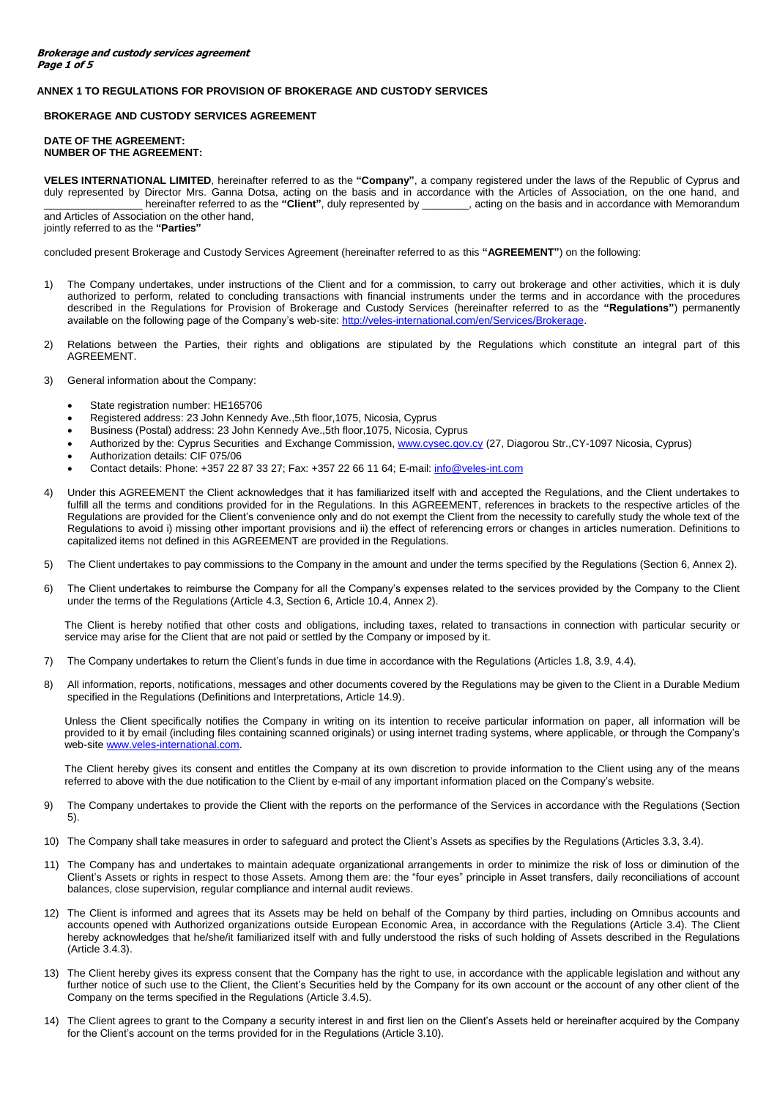## **ANNEX 1 TO REGULATIONS FOR PROVISION OF BROKERAGE AND CUSTODY SERVICES**

### **BROKERAGE AND CUSTODY SERVICES AGREEMENT**

### **DATE OF THE AGREEMENT: NUMBER OF THE AGREEMENT:**

**VELES INTERNATIONAL LIMITED**, hereinafter referred to as the **"Company"**, a company registered under the laws of the Republic of Cyprus and duly represented by Director Mrs. Ganna Dotsa, acting on the basis and in accordance with the Articles of Association, on the one hand, and hereinafter referred to as the "Client", duly represented by \_\_\_\_\_\_, acting on the basis and in accordance with Memorandum and Articles of Association on the other hand, jointly referred to as the **"Parties"**

concluded present Brokerage and Custody Services Agreement (hereinafter referred to as this **"AGREEMENT"**) on the following:

- 1) The Company undertakes, under instructions of the Client and for a commission, to carry out brokerage and other activities, which it is duly authorized to perform, related to concluding transactions with financial instruments under the terms and in accordance with the procedures described in the Regulations for Provision of Brokerage and Custody Services (hereinafter referred to as the **"Regulations"**) permanently available on the following page of the Company's web-site: http://veles-international.com/en/Services/Brokerage
- 2) Relations between the Parties, their rights and obligations are stipulated by the Regulations which constitute an integral part of this AGREEMENT.

### 3) General information about the Company:

- State registration number: HE165706
- Registered address: 23 John Kennedy Ave.,5th floor,1075, Nicosia, Cyprus
- Business (Postal) address: 23 John Kennedy Ave.,5th floor,1075, Nicosia, Cyprus
- Authorized by the: Cyprus Securities and Exchange Commission, [www.cysec.gov.cy](http://www.cysec.gov.cy/) (27, Diagorou Str.,CY-1097 Nicosia, Cyprus)
- Authorization details: CIF 075/06
- Contact details: Phone: +357 22 87 33 27; Fax: +357 22 66 11 64; E-mail: [info@veles-int.com](mailto:info@veles-int.com)
- 4) Under this AGREEMENT the Client acknowledges that it has familiarized itself with and accepted the Regulations, and the Client undertakes to fulfill all the terms and conditions provided for in the Regulations. In this AGREEMENT, references in brackets to the respective articles of the Regulations are provided for the Client's convenience only and do not exempt the Client from the necessity to carefully study the whole text of the Regulations to avoid i) missing other important provisions and ii) the effect of referencing errors or changes in articles numeration. Definitions to capitalized items not defined in this AGREEMENT are provided in the Regulations.
- 5) The Client undertakes to pay commissions to the Company in the amount and under the terms specified by the Regulations (Section 6, Annex 2).
- 6) The Client undertakes to reimburse the Company for all the Company's expenses related to the services provided by the Company to the Client under the terms of the Regulations (Article 4.3, Section 6, Article 10.4, Annex 2).

The Client is hereby notified that other costs and obligations, including taxes, related to transactions in connection with particular security or service may arise for the Client that are not paid or settled by the Company or imposed by it.

- 7) The Company undertakes to return the Client's funds in due time in accordance with the Regulations (Articles 1.8, 3.9, 4.4).
- 8) All information, reports, notifications, messages and other documents covered by the Regulations may be given to the Client in a Durable Medium specified in the Regulations (Definitions and Interpretations, Article 14.9).

Unless the Client specifically notifies the Company in writing on its intention to receive particular information on paper, all information will be provided to it by email (including files containing scanned originals) or using internet trading systems, where applicable, or through the Company's web-sit[e www.veles-international.com.](http://www.veles-international.com/)

The Client hereby gives its consent and entitles the Company at its own discretion to provide information to the Client using any of the means referred to above with the due notification to the Client by e-mail of any important information placed on the Company's website.

- 9) The Company undertakes to provide the Client with the reports on the performance of the Services in accordance with the Regulations (Section 5).
- 10) The Company shall take measures in order to safeguard and protect the Client's Assets as specifies by the Regulations (Articles 3.3, 3.4).
- 11) The Company has and undertakes to maintain adequate organizational arrangements in order to minimize the risk of loss or diminution of the Client's Assets or rights in respect to those Assets. Among them are: the "four eyes" principle in Asset transfers, daily reconciliations of account balances, close supervision, regular compliance and internal audit reviews.
- 12) The Client is informed and agrees that its Assets may be held on behalf of the Company by third parties, including on Omnibus accounts and accounts opened with Authorized organizations outside European Economic Area, in accordance with the Regulations (Article 3.4). The Client hereby acknowledges that he/she/it familiarized itself with and fully understood the risks of such holding of Assets described in the Regulations (Article 3.4.3).
- 13) The Client hereby gives its express consent that the Company has the right to use, in accordance with the applicable legislation and without any further notice of such use to the Client, the Client's Securities held by the Company for its own account or the account of any other client of the Company on the terms specified in the Regulations (Article 3.4.5).
- 14) The Client agrees to grant to the Company a security interest in and first lien on the Client's Assets held or hereinafter acquired by the Company for the Client's account on the terms provided for in the Regulations (Article 3.10).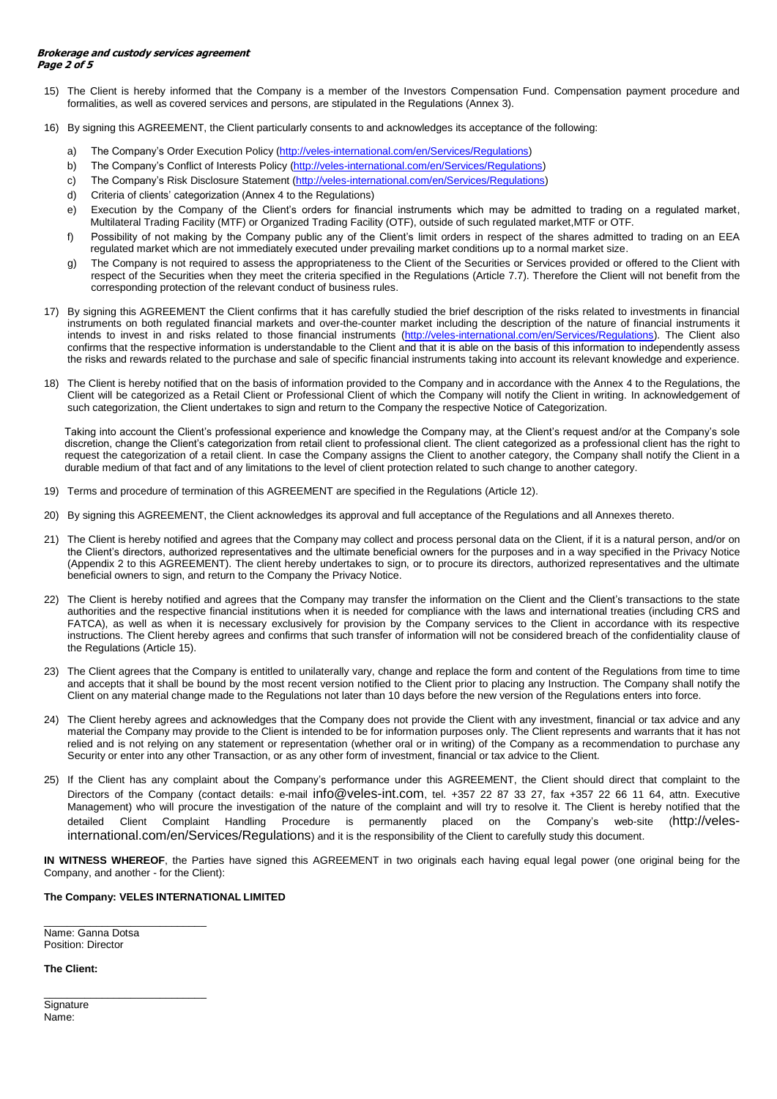- 15) The Client is hereby informed that the Company is a member of the Investors Compensation Fund. Compensation payment procedure and formalities, as well as covered services and persons, are stipulated in the Regulations (Annex 3).
- 16) By signing this AGREEMENT, the Client particularly consents to and acknowledges its acceptance of the following:
	- a) The Company's Order Execution Policy [\(http://veles-international.com/en/Services/Regulations\)](http://veles-international.com/en/Services/Regulations)
	- b) The Company's Conflict of Interests Policy [\(http://veles-international.com/en/Services/Regulations\)](http://veles-international.com/en/Services/Regulations)
	- c) The Company's Risk Disclosure Statement [\(http://veles-international.com/en/Services/Regulations\)](http://veles-international.com/en/Services/Regulations)
	- d) Criteria of clients' categorization (Annex 4 to the Regulations)
	- e) Execution by the Company of the Client's orders for financial instruments which may be admitted to trading on a regulated market, Multilateral Trading Facility (MTF) or Organized Trading Facility (OTF), outside of such regulated market,MTF or OTF.
	- f) Possibility of not making by the Company public any of the Client's limit orders in respect of the shares admitted to trading on an EEA regulated market which are not immediately executed under prevailing market conditions up to a normal market size.
	- g) The Company is not required to assess the appropriateness to the Client of the Securities or Services provided or offered to the Client with respect of the Securities when they meet the criteria specified in the Regulations (Article 7.7). Therefore the Client will not benefit from the corresponding protection of the relevant conduct of business rules.
- 17) By signing this AGREEMENT the Client confirms that it has carefully studied the brief description of the risks related to investments in financial instruments on both regulated financial markets and over-the-counter market including the description of the nature of financial instruments it intends to invest in and risks related to those financial instruments [\(http://veles-international.com/en/Services/Regulations\)](http://veles-international.com/en/Services/Regulations). The Client also confirms that the respective information is understandable to the Client and that it is able on the basis of this information to independently assess the risks and rewards related to the purchase and sale of specific financial instruments taking into account its relevant knowledge and experience.
- 18) The Client is hereby notified that on the basis of information provided to the Company and in accordance with the Annex 4 to the Regulations, the Client will be categorized as a Retail Client or Professional Client of which the Company will notify the Client in writing. In acknowledgement of such categorization, the Client undertakes to sign and return to the Company the respective Notice of Categorization.

Taking into account the Client's professional experience and knowledge the Company may, at the Client's request and/or at the Company's sole discretion, change the Client's categorization from retail client to professional client. The client categorized as a professional client has the right to request the categorization of a retail client. In case the Company assigns the Client to another category, the Company shall notify the Client in a durable medium of that fact and of any limitations to the level of client protection related to such change to another category.

- 19) Terms and procedure of termination of this AGREEMENT are specified in the Regulations (Article 12).
- 20) By signing this AGREEMENT, the Client acknowledges its approval and full acceptance of the Regulations and all Annexes thereto.
- 21) The Client is hereby notified and agrees that the Company may collect and process personal data on the Client, if it is a natural person, and/or on the Client's directors, authorized representatives and the ultimate beneficial owners for the purposes and in a way specified in the Privacy Notice (Appendix 2 to this AGREEMENT). The client hereby undertakes to sign, or to procure its directors, authorized representatives and the ultimate beneficial owners to sign, and return to the Company the Privacy Notice.
- 22) The Client is hereby notified and agrees that the Company may transfer the information on the Client and the Client's transactions to the state authorities and the respective financial institutions when it is needed for compliance with the laws and international treaties (including CRS and FATCA), as well as when it is necessary exclusively for provision by the Company services to the Client in accordance with its respective instructions. The Client hereby agrees and confirms that such transfer of information will not be considered breach of the confidentiality clause of the Regulations (Article 15).
- 23) The Client agrees that the Company is entitled to unilaterally vary, change and replace the form and content of the Regulations from time to time and accepts that it shall be bound by the most recent version notified to the Client prior to placing any Instruction. The Company shall notify the Client on any material change made to the Regulations not later than 10 days before the new version of the Regulations enters into force.
- 24) The Client hereby agrees and acknowledges that the Company does not provide the Client with any investment, financial or tax advice and any material the Company may provide to the Client is intended to be for information purposes only. The Client represents and warrants that it has not relied and is not relying on any statement or representation (whether oral or in writing) of the Company as a recommendation to purchase any Security or enter into any other Transaction, or as any other form of investment, financial or tax advice to the Client.
- 25) If the Client has any complaint about the Company's performance under this AGREEMENT, the Client should direct that complaint to the Directors of the Company (contact details: e-mail [info@veles-int.com](mailto:info@veles-int.com), tel. +357 22 87 33 27, fax +357 22 66 11 64, attn. Executive Management) who will procure the investigation of the nature of the complaint and will try to resolve it. The Client is hereby notified that the detailed Client Complaint Handling Procedure is permanently placed on the Company's web-site ([http://veles](http://veles-international.com/en/Services/Regulations)[international.com/en/Services/Regulations](http://veles-international.com/en/Services/Regulations)) and it is the responsibility of the Client to carefully study this document.

**IN WITNESS WHEREOF**, the Parties have signed this AGREEMENT in two originals each having equal legal power (one original being for the Company, and another - for the Client):

# **The Company: VELES INTERNATIONAL LIMITED**

\_\_\_\_\_\_\_\_\_\_\_\_\_\_\_\_\_\_\_\_\_\_\_\_\_\_\_\_ Name: Ganna Dotsa Position: Director

\_\_\_\_\_\_\_\_\_\_\_\_\_\_\_\_\_\_\_\_\_\_\_\_\_\_\_\_

**The Client:**

**Signature** Name: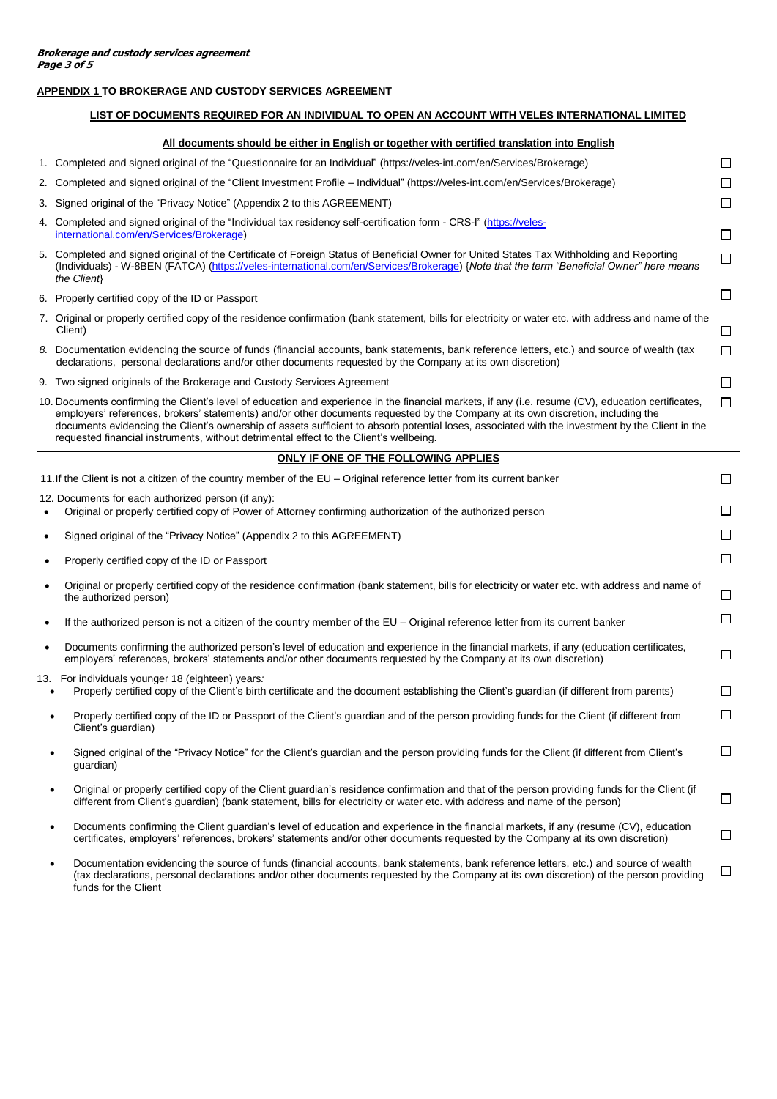# **APPENDIX 1 TO BROKERAGE AND CUSTODY SERVICES AGREEMENT**

# **LIST OF DOCUMENTS REQUIRED FOR AN INDIVIDUAL TO OPEN AN ACCOUNT WITH VELES INTERNATIONAL LIMITED**

## **All documents should be either in English or together with certified translation into English**

| 1. Completed and signed original of the "Questionnaire for an Individual" (https://veles-int.com/en/Services/Brokerage)                                                                                                                                                                             |        |
|-----------------------------------------------------------------------------------------------------------------------------------------------------------------------------------------------------------------------------------------------------------------------------------------------------|--------|
| 2. Completed and signed original of the "Client Investment Profile – Individual" (https://veles-int.com/en/Services/Brokerage)                                                                                                                                                                      |        |
| 3. Signed original of the "Privacy Notice" (Appendix 2 to this AGREEMENT)                                                                                                                                                                                                                           | $\Box$ |
| 4. Completed and signed original of the "Individual tax residency self-certification form - CRS-I" (https://veles-<br>international.com/en/Services/Brokerage)                                                                                                                                      | LI     |
| 5. Completed and signed original of the Certificate of Foreign Status of Beneficial Owner for United States Tax Withholding and Reporting<br>(Individuals) - W-8BEN (FATCA) (https://veles-international.com/en/Services/Brokerage) {Note that the term "Beneficial Owner" here means<br>the Client | П      |
| 6. Properly certified copy of the ID or Passport                                                                                                                                                                                                                                                    |        |
| 7. Original or properly certified copy of the residence confirmation (bank statement, bills for electricity or water etc. with address and name of the                                                                                                                                              |        |
| Client)                                                                                                                                                                                                                                                                                             | П      |
| 8. Documentation evidencing the source of funds (financial accounts, bank statements, bank reference letters, etc.) and source of wealth (tax<br>declarations, personal declarations and/or other documents requested by the Company at its own discretion)                                         | П      |
| 9. Two signed originals of the Brokerage and Custody Services Agreement                                                                                                                                                                                                                             |        |

 $\,$  s confirming the Client's level of education and experience in the financial markets, if any (i.e. resume (CV), education cer  $\Box$ employers' references, brokers' statements) and/or other documents requested by the Company at its own discretion, including the documents evidencing the Client's ownership of assets sufficient to absorb potential loses, associated with the investment by the Client in the requested financial instruments, without detrimental effect to the Client's wellbeing.

# **ONLY IF ONE OF THE FOLLOWING APPLIES**  11.If the Client is not a citizen of the country member of the EU – Original reference letter from its current banker 12. Documents for each authorized person (if any): Original or properly certified copy of Power of Attorney confirming authorization of the authorized person Signed original of the "Privacy Notice" (Appendix 2 to this AGREEMENT)

 $\Box$ 

 $\Box$ П П

П П

 $\Box$ 

 $\Box$  $\Box$ 

- Properly certified copy of the ID or Passport Original or properly certified copy of the residence confirmation (bank statement, bills for electricity or water etc. with address and name of the authorized person) If the authorized person is not a citizen of the country member of the EU – Original reference letter from its current banker
- Documents confirming the authorized person's level of education and experience in the financial markets, if any (education certificates, employers' references, brokers' statements and/or other documents requested by the Company at its own discretion)

13. For individuals younger 18 (eighteen) years*:*

- Properly certified copy of the Client's birth certificate and the document establishing the Client's guardian (if different from parents)
- Properly certified copy of the ID or Passport of the Client's guardian and of the person providing funds for the Client (if different from Client's guardian)
- $\Box$  Signed original of the "Privacy Notice" for the Client's guardian and the person providing funds for the Client (if different from Client's guardian)
- Original or properly certified copy of the Client guardian's residence confirmation and that of the person providing funds for the Client (if П different from Client's guardian) (bank statement, bills for electricity or water etc. with address and name of the person)
- Documents confirming the Client guardian's level of education and experience in the financial markets, if any (resume (CV), education  $\Box$ certificates, employers' references, brokers' statements and/or other documents requested by the Company at its own discretion)
- Documentation evidencing the source of funds (financial accounts, bank statements, bank reference letters, etc.) and source of wealth □ (tax declarations, personal declarations and/or other documents requested by the Company at its own discretion) of the person providing funds for the Client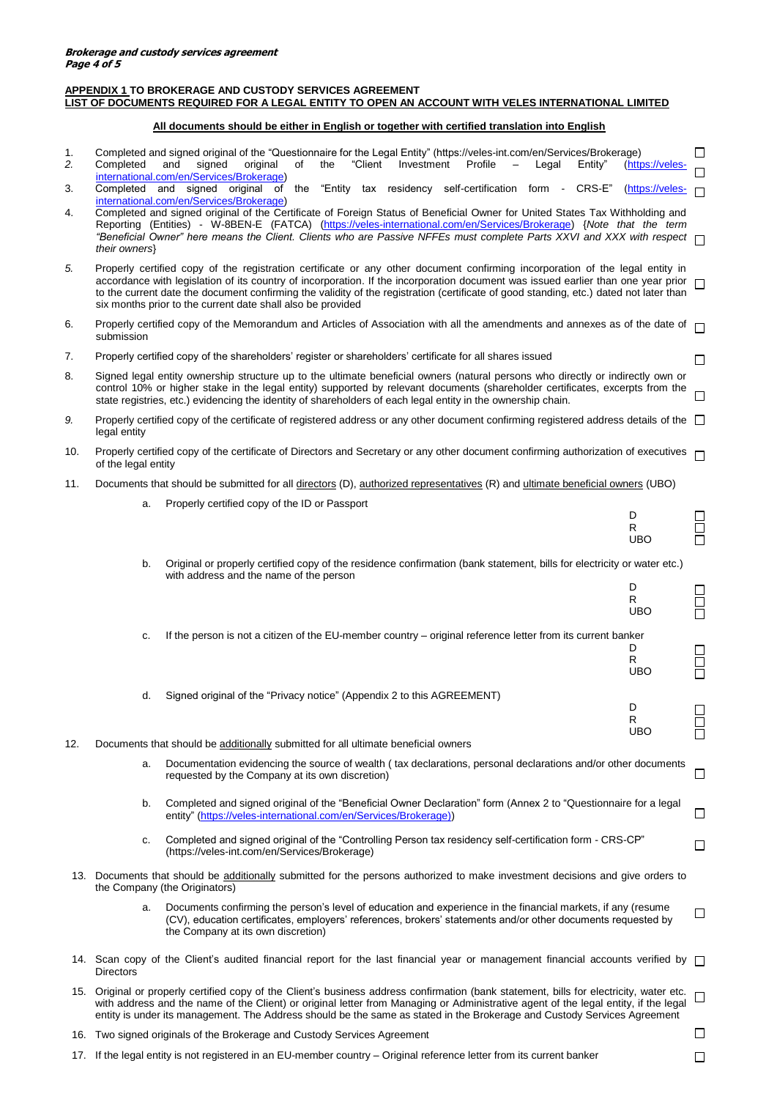# **APPENDIX 1 TO BROKERAGE AND CUSTODY SERVICES AGREEMENT LIST OF DOCUMENTS REQUIRED FOR A LEGAL ENTITY TO OPEN AN ACCOUNT WITH VELES INTERNATIONAL LIMITED**

# **All documents should be either in English or together with certified translation into English**

| 1.<br>2. | Completed                                                                                                                                                                                                                                                                                                                                                                                                                                                                   | Completed and signed original of the "Questionnaire for the Legal Entity" (https://veles-int.com/en/Services/Brokerage)<br>signed<br>and<br>international.com/en/Services/Brokerage)                                                                                                                                                                                                                                     | original | of | the | "Client | Investment |  | Profile | Legal  |                 | Entity" | (https://veles-           | $\Box$ |
|----------|-----------------------------------------------------------------------------------------------------------------------------------------------------------------------------------------------------------------------------------------------------------------------------------------------------------------------------------------------------------------------------------------------------------------------------------------------------------------------------|--------------------------------------------------------------------------------------------------------------------------------------------------------------------------------------------------------------------------------------------------------------------------------------------------------------------------------------------------------------------------------------------------------------------------|----------|----|-----|---------|------------|--|---------|--------|-----------------|---------|---------------------------|--------|
| 3.       |                                                                                                                                                                                                                                                                                                                                                                                                                                                                             | Completed and signed original of the "Entity tax residency self-certification form                                                                                                                                                                                                                                                                                                                                       |          |    |     |         |            |  |         |        | $\sim 10^{-11}$ | CRS-E"  | (https://veles-           | П      |
| 4.       | their owners}                                                                                                                                                                                                                                                                                                                                                                                                                                                               | international.com/en/Services/Brokerage)<br>Completed and signed original of the Certificate of Foreign Status of Beneficial Owner for United States Tax Withholding and<br>Reporting (Entities) - W-8BEN-E (FATCA) (https://veles-international.com/en/Services/Brokerage) {Note that the term<br>"Beneficial Owner" here means the Client. Clients who are Passive NFFEs must complete Parts XXVI and XXX with respect |          |    |     |         |            |  |         |        |                 |         |                           |        |
| 5.       | Properly certified copy of the registration certificate or any other document confirming incorporation of the legal entity in<br>accordance with legislation of its country of incorporation. If the incorporation document was issued earlier than one year prior<br>to the current date the document confirming the validity of the registration (certificate of good standing, etc.) dated not later than<br>six months prior to the current date shall also be provided |                                                                                                                                                                                                                                                                                                                                                                                                                          |          |    |     |         |            |  | $\Box$  |        |                 |         |                           |        |
| 6.       | Properly certified copy of the Memorandum and Articles of Association with all the amendments and annexes as of the date of<br>submission                                                                                                                                                                                                                                                                                                                                   |                                                                                                                                                                                                                                                                                                                                                                                                                          |          |    |     |         |            |  | $\Box$  |        |                 |         |                           |        |
| 7.       | Properly certified copy of the shareholders' register or shareholders' certificate for all shares issued                                                                                                                                                                                                                                                                                                                                                                    |                                                                                                                                                                                                                                                                                                                                                                                                                          |          |    |     |         |            |  | □       |        |                 |         |                           |        |
| 8.       | Signed legal entity ownership structure up to the ultimate beneficial owners (natural persons who directly or indirectly own or<br>control 10% or higher stake in the legal entity) supported by relevant documents (shareholder certificates, excerpts from the<br>state registries, etc.) evidencing the identity of shareholders of each legal entity in the ownership chain.                                                                                            |                                                                                                                                                                                                                                                                                                                                                                                                                          |          |    |     |         |            |  | П       |        |                 |         |                           |        |
| 9.       | legal entity                                                                                                                                                                                                                                                                                                                                                                                                                                                                | Properly certified copy of the certificate of registered address or any other document confirming registered address details of the $\Box$                                                                                                                                                                                                                                                                               |          |    |     |         |            |  |         |        |                 |         |                           |        |
| 10.      | of the legal entity                                                                                                                                                                                                                                                                                                                                                                                                                                                         | Properly certified copy of the certificate of Directors and Secretary or any other document confirming authorization of executives                                                                                                                                                                                                                                                                                       |          |    |     |         |            |  |         |        |                 |         |                           | П      |
| 11.      |                                                                                                                                                                                                                                                                                                                                                                                                                                                                             | Documents that should be submitted for all directors (D), authorized representatives (R) and ultimate beneficial owners (UBO)                                                                                                                                                                                                                                                                                            |          |    |     |         |            |  |         |        |                 |         |                           |        |
|          | a.                                                                                                                                                                                                                                                                                                                                                                                                                                                                          | Properly certified copy of the ID or Passport                                                                                                                                                                                                                                                                                                                                                                            |          |    |     |         |            |  |         |        |                 |         | D                         |        |
|          |                                                                                                                                                                                                                                                                                                                                                                                                                                                                             |                                                                                                                                                                                                                                                                                                                                                                                                                          |          |    |     |         |            |  |         |        |                 |         | $\mathsf R$<br><b>UBO</b> | Ē      |
|          | b.                                                                                                                                                                                                                                                                                                                                                                                                                                                                          | Original or properly certified copy of the residence confirmation (bank statement, bills for electricity or water etc.)                                                                                                                                                                                                                                                                                                  |          |    |     |         |            |  |         |        |                 |         |                           |        |
|          |                                                                                                                                                                                                                                                                                                                                                                                                                                                                             | with address and the name of the person                                                                                                                                                                                                                                                                                                                                                                                  |          |    |     |         |            |  |         |        |                 |         | D                         |        |
|          |                                                                                                                                                                                                                                                                                                                                                                                                                                                                             |                                                                                                                                                                                                                                                                                                                                                                                                                          |          |    |     |         |            |  |         |        |                 |         | R<br><b>UBO</b>           |        |
|          | c.                                                                                                                                                                                                                                                                                                                                                                                                                                                                          | If the person is not a citizen of the EU-member country – original reference letter from its current banker                                                                                                                                                                                                                                                                                                              |          |    |     |         |            |  |         |        |                 |         | D<br>R<br><b>UBO</b>      |        |
|          | d.                                                                                                                                                                                                                                                                                                                                                                                                                                                                          | Signed original of the "Privacy notice" (Appendix 2 to this AGREEMENT)                                                                                                                                                                                                                                                                                                                                                   |          |    |     |         |            |  |         |        |                 |         |                           |        |
|          |                                                                                                                                                                                                                                                                                                                                                                                                                                                                             |                                                                                                                                                                                                                                                                                                                                                                                                                          |          |    |     |         |            |  |         |        |                 |         | D<br>R<br><b>UBO</b>      | ப      |
| 12.      |                                                                                                                                                                                                                                                                                                                                                                                                                                                                             | Documents that should be additionally submitted for all ultimate beneficial owners                                                                                                                                                                                                                                                                                                                                       |          |    |     |         |            |  |         |        |                 |         |                           |        |
|          | a.                                                                                                                                                                                                                                                                                                                                                                                                                                                                          | Documentation evidencing the source of wealth (tax declarations, personal declarations and/or other documents<br>requested by the Company at its own discretion)                                                                                                                                                                                                                                                         |          |    |     |         |            |  |         |        |                 |         |                           | □      |
|          | b.                                                                                                                                                                                                                                                                                                                                                                                                                                                                          | Completed and signed original of the "Beneficial Owner Declaration" form (Annex 2 to "Questionnaire for a legal<br>entity" (https://veles-international.com/en/Services/Brokerage))                                                                                                                                                                                                                                      |          |    |     |         |            |  |         |        |                 |         |                           | □      |
|          | c.                                                                                                                                                                                                                                                                                                                                                                                                                                                                          | Completed and signed original of the "Controlling Person tax residency self-certification form - CRS-CP"<br>(https://veles-int.com/en/Services/Brokerage)                                                                                                                                                                                                                                                                |          |    |     |         |            |  |         |        |                 |         |                           | □      |
|          | 13. Documents that should be additionally submitted for the persons authorized to make investment decisions and give orders to<br>the Company (the Originators)                                                                                                                                                                                                                                                                                                             |                                                                                                                                                                                                                                                                                                                                                                                                                          |          |    |     |         |            |  |         |        |                 |         |                           |        |
|          | a.                                                                                                                                                                                                                                                                                                                                                                                                                                                                          | Documents confirming the person's level of education and experience in the financial markets, if any (resume<br>(CV), education certificates, employers' references, brokers' statements and/or other documents requested by<br>the Company at its own discretion)                                                                                                                                                       |          |    |     |         |            |  |         |        |                 |         |                           | ⊔      |
|          | 14. Scan copy of the Client's audited financial report for the last financial year or management financial accounts verified by<br><b>Directors</b>                                                                                                                                                                                                                                                                                                                         |                                                                                                                                                                                                                                                                                                                                                                                                                          |          |    |     |         |            |  |         | $\Box$ |                 |         |                           |        |
|          | 15. Original or properly certified copy of the Client's business address confirmation (bank statement, bills for electricity, water etc.<br>$\Box$<br>with address and the name of the Client) or original letter from Managing or Administrative agent of the legal entity, if the legal<br>entity is under its management. The Address should be the same as stated in the Brokerage and Custody Services Agreement                                                       |                                                                                                                                                                                                                                                                                                                                                                                                                          |          |    |     |         |            |  |         |        |                 |         |                           |        |
|          |                                                                                                                                                                                                                                                                                                                                                                                                                                                                             | 16. Two signed originals of the Brokerage and Custody Services Agreement                                                                                                                                                                                                                                                                                                                                                 |          |    |     |         |            |  |         | $\Box$ |                 |         |                           |        |

17. If the legal entity is not registered in an EU-member country – Original reference letter from its current banker

 $\Box$